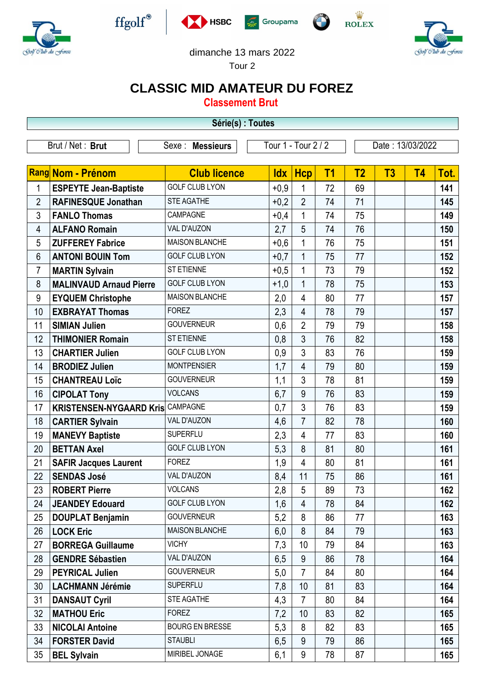







 $\frac{\dot{W}}{\text{ROLEX}}$ 



 $-$ Gralf  $\Theta$ lu

dimanche 13 mars 2022

Tour 2

## **CLASSIC MID AMATEUR DU FOREZ**

**Classement Brut**

| Série(s) : Toutes |                                |                        |                     |                |                |                  |    |           |      |  |
|-------------------|--------------------------------|------------------------|---------------------|----------------|----------------|------------------|----|-----------|------|--|
|                   | Brut / Net: Brut               | Sexe : Messieurs       | Tour 1 - Tour 2 / 2 |                |                | Date: 13/03/2022 |    |           |      |  |
|                   |                                |                        |                     |                |                |                  |    |           |      |  |
|                   | Rang Nom - Prénom              | <b>Club licence</b>    | <b>Idx</b>          | <b>Hcp</b>     | T <sub>1</sub> | T <sub>2</sub>   | T3 | <b>T4</b> | Tot. |  |
| 1                 | <b>ESPEYTE Jean-Baptiste</b>   | <b>GOLF CLUB LYON</b>  | $+0,9$              | 1              | 72             | 69               |    |           | 141  |  |
| $\overline{2}$    | <b>RAFINESQUE Jonathan</b>     | <b>STE AGATHE</b>      | $+0,2$              | $\overline{2}$ | 74             | 71               |    |           | 145  |  |
| 3                 | <b>FANLO Thomas</b>            | CAMPAGNE               | $+0,4$              | 1              | 74             | 75               |    |           | 149  |  |
| 4                 | <b>ALFANO Romain</b>           | VAL D'AUZON            | 2,7                 | 5              | 74             | 76               |    |           | 150  |  |
| 5                 | <b>ZUFFEREY Fabrice</b>        | <b>MAISON BLANCHE</b>  | $+0,6$              | 1              | 76             | 75               |    |           | 151  |  |
| 6                 | <b>ANTONI BOUIN Tom</b>        | <b>GOLF CLUB LYON</b>  | $+0,7$              | 1              | 75             | 77               |    |           | 152  |  |
| $\overline{7}$    | <b>MARTIN Sylvain</b>          | <b>ST ETIENNE</b>      | $+0,5$              | 1              | 73             | 79               |    |           | 152  |  |
| 8                 | <b>MALINVAUD Arnaud Pierre</b> | <b>GOLF CLUB LYON</b>  | $+1,0$              | 1              | 78             | 75               |    |           | 153  |  |
| 9                 | <b>EYQUEM Christophe</b>       | <b>MAISON BLANCHE</b>  | 2,0                 | 4              | 80             | 77               |    |           | 157  |  |
| 10                | <b>EXBRAYAT Thomas</b>         | <b>FOREZ</b>           | 2,3                 | $\overline{4}$ | 78             | 79               |    |           | 157  |  |
| 11                | <b>SIMIAN Julien</b>           | <b>GOUVERNEUR</b>      | 0,6                 | $\overline{2}$ | 79             | 79               |    |           | 158  |  |
| 12                | <b>THIMONIER Romain</b>        | <b>ST ETIENNE</b>      | 0,8                 | 3              | 76             | 82               |    |           | 158  |  |
| 13                | <b>CHARTIER Julien</b>         | <b>GOLF CLUB LYON</b>  | 0,9                 | $\mathfrak{Z}$ | 83             | 76               |    |           | 159  |  |
| 14                | <b>BRODIEZ Julien</b>          | <b>MONTPENSIER</b>     | 1,7                 | $\overline{4}$ | 79             | 80               |    |           | 159  |  |
| 15                | <b>CHANTREAU Loïc</b>          | <b>GOUVERNEUR</b>      | 1,1                 | 3              | 78             | 81               |    |           | 159  |  |
| 16                | <b>CIPOLAT Tony</b>            | <b>VOLCANS</b>         | 6,7                 | 9              | 76             | 83               |    |           | 159  |  |
| 17                | <b>KRISTENSEN-NYGAARD Kris</b> | CAMPAGNE               | 0,7                 | $\mathfrak{Z}$ | 76             | 83               |    |           | 159  |  |
| 18                | <b>CARTIER Sylvain</b>         | VAL D'AUZON            | 4,6                 | $\overline{7}$ | 82             | 78               |    |           | 160  |  |
| 19                | <b>MANEVY Baptiste</b>         | <b>SUPERFLU</b>        | 2,3                 | $\overline{4}$ | 77             | 83               |    |           | 160  |  |
| 20                | <b>BETTAN Axel</b>             | <b>GOLF CLUB LYON</b>  | 5,3                 | 8              | 81             | 80               |    |           | 161  |  |
| 21                | <b>SAFIR Jacques Laurent</b>   | <b>FOREZ</b>           | 1,9                 | 4              | 80             | 81               |    |           | 161  |  |
| 22                | <b>SENDAS José</b>             | VAL D'AUZON            | 8,4                 | 11             | 75             | 86               |    |           | 161  |  |
| 23                | <b>ROBERT Pierre</b>           | <b>VOLCANS</b>         | 2,8                 | 5              | 89             | 73               |    |           | 162  |  |
| 24                | <b>JEANDEY Edouard</b>         | <b>GOLF CLUB LYON</b>  | 1,6                 | $\overline{4}$ | 78             | 84               |    |           | 162  |  |
| 25                | <b>DOUPLAT Benjamin</b>        | <b>GOUVERNEUR</b>      | 5,2                 | 8              | 86             | 77               |    |           | 163  |  |
| 26                | <b>LOCK Eric</b>               | <b>MAISON BLANCHE</b>  | 6,0                 | 8              | 84             | 79               |    |           | 163  |  |
| 27                | <b>BORREGA Guillaume</b>       | <b>VICHY</b>           | 7,3                 | 10             | 79             | 84               |    |           | 163  |  |
| 28                | <b>GENDRE Sébastien</b>        | VAL D'AUZON            | 6,5                 | 9              | 86             | 78               |    |           | 164  |  |
| 29                | <b>PEYRICAL Julien</b>         | <b>GOUVERNEUR</b>      | 5,0                 | $\overline{7}$ | 84             | 80               |    |           | 164  |  |
| 30                | <b>LACHMANN Jérémie</b>        | <b>SUPERFLU</b>        | 7,8                 | 10             | 81             | 83               |    |           | 164  |  |
| 31                | <b>DANSAUT Cyril</b>           | STE AGATHE             | 4,3                 | $\overline{7}$ | 80             | 84               |    |           | 164  |  |
| 32                | <b>MATHOU Eric</b>             | <b>FOREZ</b>           | 7,2                 | 10             | 83             | 82               |    |           | 165  |  |
| 33                | <b>NICOLAI Antoine</b>         | <b>BOURG EN BRESSE</b> | 5,3                 | 8              | 82             | 83               |    |           | 165  |  |
| 34                | <b>FORSTER David</b>           | <b>STAUBLI</b>         | 6,5                 | 9              | 79             | 86               |    |           | 165  |  |
| 35                | <b>BEL Sylvain</b>             | MIRIBEL JONAGE         | 6,1                 | $9\,$          | 78             | 87               |    |           | 165  |  |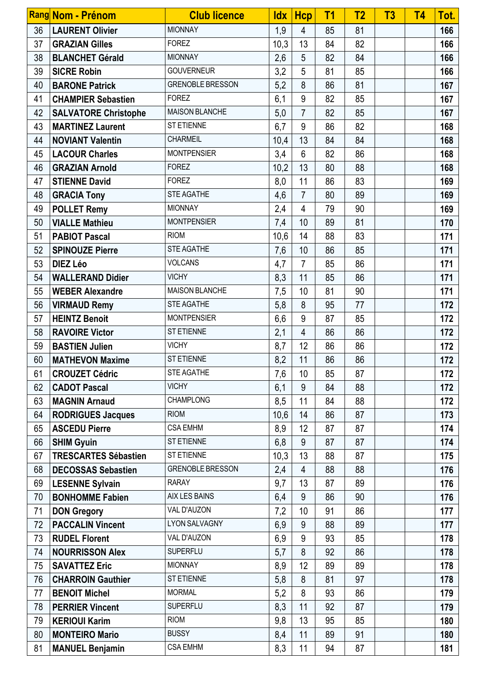|    | Rang Nom - Prénom           | <b>Club licence</b>     | <b>Idx</b> | <b>Hcp</b>     | T <sub>1</sub> | T <sub>2</sub> | T3 | <b>T4</b> | Tot. |
|----|-----------------------------|-------------------------|------------|----------------|----------------|----------------|----|-----------|------|
| 36 | <b>LAURENT Olivier</b>      | <b>MIONNAY</b>          | 1,9        | 4              | 85             | 81             |    |           | 166  |
| 37 | <b>GRAZIAN Gilles</b>       | <b>FOREZ</b>            | 10,3       | 13             | 84             | 82             |    |           | 166  |
| 38 | <b>BLANCHET Gérald</b>      | <b>MIONNAY</b>          | 2,6        | 5              | 82             | 84             |    |           | 166  |
| 39 | <b>SICRE Robin</b>          | <b>GOUVERNEUR</b>       | 3,2        | 5              | 81             | 85             |    |           | 166  |
| 40 | <b>BARONE Patrick</b>       | <b>GRENOBLE BRESSON</b> | 5,2        | 8              | 86             | 81             |    |           | 167  |
| 41 | <b>CHAMPIER Sebastien</b>   | <b>FOREZ</b>            | 6,1        | 9              | 82             | 85             |    |           | 167  |
| 42 | <b>SALVATORE Christophe</b> | <b>MAISON BLANCHE</b>   | 5,0        | $\overline{7}$ | 82             | 85             |    |           | 167  |
| 43 | <b>MARTINEZ Laurent</b>     | <b>ST ETIENNE</b>       | 6,7        | 9              | 86             | 82             |    |           | 168  |
| 44 | <b>NOVIANT Valentin</b>     | <b>CHARMEIL</b>         | 10,4       | 13             | 84             | 84             |    |           | 168  |
| 45 | <b>LACOUR Charles</b>       | <b>MONTPENSIER</b>      | 3,4        | $6\phantom{a}$ | 82             | 86             |    |           | 168  |
| 46 | <b>GRAZIAN Arnold</b>       | <b>FOREZ</b>            | 10,2       | 13             | 80             | 88             |    |           | 168  |
| 47 | <b>STIENNE David</b>        | <b>FOREZ</b>            | 8,0        | 11             | 86             | 83             |    |           | 169  |
| 48 | <b>GRACIA Tony</b>          | <b>STE AGATHE</b>       | 4,6        | $\overline{7}$ | 80             | 89             |    |           | 169  |
| 49 | <b>POLLET Remy</b>          | <b>MIONNAY</b>          | 2,4        | $\overline{4}$ | 79             | 90             |    |           | 169  |
| 50 | <b>VIALLE Mathieu</b>       | <b>MONTPENSIER</b>      | 7,4        | 10             | 89             | 81             |    |           | 170  |
| 51 | <b>PABIOT Pascal</b>        | <b>RIOM</b>             | 10,6       | 14             | 88             | 83             |    |           | 171  |
| 52 | <b>SPINOUZE Pierre</b>      | STE AGATHE              | 7,6        | 10             | 86             | 85             |    |           | 171  |
| 53 | <b>DIEZ Léo</b>             | <b>VOLCANS</b>          | 4,7        | $\overline{7}$ | 85             | 86             |    |           | 171  |
| 54 | <b>WALLERAND Didier</b>     | <b>VICHY</b>            | 8,3        | 11             | 85             | 86             |    |           | 171  |
| 55 | <b>WEBER Alexandre</b>      | <b>MAISON BLANCHE</b>   | 7,5        | 10             | 81             | 90             |    |           | 171  |
| 56 | <b>VIRMAUD Remy</b>         | STE AGATHE              | 5,8        | 8              | 95             | 77             |    |           | 172  |
| 57 | <b>HEINTZ Benoit</b>        | <b>MONTPENSIER</b>      | 6,6        | 9              | 87             | 85             |    |           | 172  |
| 58 | <b>RAVOIRE Victor</b>       | <b>ST ETIENNE</b>       | 2,1        | $\overline{4}$ | 86             | 86             |    |           | 172  |
| 59 | <b>BASTIEN Julien</b>       | <b>VICHY</b>            | 8,7        | 12             | 86             | 86             |    |           | 172  |
| 60 | <b>MATHEVON Maxime</b>      | <b>ST ETIENNE</b>       | 8,2        | 11             | 86             | 86             |    |           | 172  |
| 61 | <b>CROUZET Cédric</b>       | STE AGATHE              | 7,6        | 10             | 85             | 87             |    |           | 172  |
| 62 | <b>CADOT Pascal</b>         | <b>VICHY</b>            | 6,1        | 9              | 84             | 88             |    |           | 172  |
| 63 | <b>MAGNIN Arnaud</b>        | <b>CHAMPLONG</b>        | 8,5        | 11             | 84             | 88             |    |           | 172  |
| 64 | <b>RODRIGUES Jacques</b>    | <b>RIOM</b>             | 10,6       | 14             | 86             | 87             |    |           | 173  |
| 65 | <b>ASCEDU Pierre</b>        | <b>CSA EMHM</b>         | 8,9        | 12             | 87             | 87             |    |           | 174  |
| 66 | <b>SHIM Gyuin</b>           | ST ETIENNE              | 6,8        | 9              | 87             | 87             |    |           | 174  |
| 67 | <b>TRESCARTES Sébastien</b> | <b>ST ETIENNE</b>       | 10,3       | 13             | 88             | 87             |    |           | 175  |
| 68 | <b>DECOSSAS Sebastien</b>   | <b>GRENOBLE BRESSON</b> | 2,4        | $\overline{4}$ | 88             | 88             |    |           | 176  |
| 69 | <b>LESENNE Sylvain</b>      | <b>RARAY</b>            | 9,7        | 13             | 87             | 89             |    |           | 176  |
| 70 | <b>BONHOMME Fabien</b>      | AIX LES BAINS           | 6,4        | 9              | 86             | 90             |    |           | 176  |
| 71 | <b>DON Gregory</b>          | VAL D'AUZON             | 7,2        | 10             | 91             | 86             |    |           | 177  |
| 72 | <b>PACCALIN Vincent</b>     | LYON SALVAGNY           | 6,9        | 9              | 88             | 89             |    |           | 177  |
| 73 | <b>RUDEL Florent</b>        | VAL D'AUZON             | 6,9        | 9              | 93             | 85             |    |           | 178  |
| 74 | <b>NOURRISSON Alex</b>      | <b>SUPERFLU</b>         | 5,7        | 8              | 92             | 86             |    |           | 178  |
| 75 | <b>SAVATTEZ Eric</b>        | <b>MIONNAY</b>          | 8,9        | 12             | 89             | 89             |    |           | 178  |
| 76 | <b>CHARROIN Gauthier</b>    | <b>ST ETIENNE</b>       | 5,8        | 8              | 81             | 97             |    |           | 178  |
| 77 | <b>BENOIT Michel</b>        | <b>MORMAL</b>           | 5,2        | 8              | 93             | 86             |    |           | 179  |
| 78 | <b>PERRIER Vincent</b>      | <b>SUPERFLU</b>         | 8,3        | 11             | 92             | 87             |    |           | 179  |
| 79 | <b>KERIOUI Karim</b>        | <b>RIOM</b>             | 9,8        | 13             | 95             | 85             |    |           | 180  |
| 80 | <b>MONTEIRO Mario</b>       | <b>BUSSY</b>            | 8,4        | 11             | 89             | 91             |    |           | 180  |
| 81 | <b>MANUEL Benjamin</b>      | <b>CSA EMHM</b>         | 8,3        | 11             | 94             | 87             |    |           | 181  |